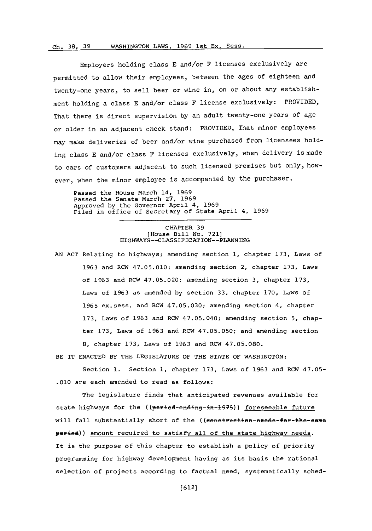## t-\*h~ ~R 39 WASHINGTON LAWS. 1969 1st Ex. Sess WASHINGTON LAWS, **1969** lst Ex. Sess ,-'h **3 8 3 9**

Employers holding class **E** and/or F licenses exclusively are permitted to allow their employees, between the ages of eighteen and twenty-one years, to sell beer or wine in, on or about any establishment holding a class **E** and/or class F license exclusively: PROVIDED, That there is direct supervision **by** an adult twenty-one years of age or older in an adjacent check stand: PROVIDED, That minor employees may make deliveries of beer and/or wine purchased from licensees holding class **E** and/or class F licenses exclusively, when delivery is made to cars of customers adjacent to such licensed premises but only, however, when the minor employee is accompanied by the purchaser.

Passed the House March 14, **1969** Passed the Senate March **27, 1969** Approved **by** the Governor April 4, **1969** Filed in office of Secretary of State April 4, **1969**

## CHAPTER **39** [House Bill No. **721]** HIGHWAYS--CLASSIFICATION--PLANNING

**AN ACT** Relating to highways; amending section **1,** chapter **173,** Laws of **1963** and RCW 47.05.010; amending section 2, chapter **173,** Laws of **1963** and RCW 47.05.020; amending section **3,** chapter **173,** Laws of **1963** as amended **by** section **33,** chapter **170,** Laws of **1965** ex.sess. and RCW **47.05.030;** amending section 4, chapter **173,** Laws of **1963** and RCW 47.05.040; amending section **5,** chapter **173,** Laws of **1963** and RCW **47.05.050;** and amending section **8,** chapter **173,** Laws **of 1963** and RCW 47.05.080.

BE IT **ENACTED** BY THE LEGISLATURE OF THE **STATE** OF WASHINGTON:

Section **1.** Section **1,** chapter **173,** Laws of **1963** and RCW 47.05- **.010** are each amended to read as follows:

The legislature finds that anticipated revenues available for state highways for the ((period-ending-in-1975)) foreseeable future will fall substantially short of the ((eenstruction-needs-for-the-same peried)) amount required to satisfy all of the state highway needs. It is the purpose of this chapter to establish a policy of priority programming for highway development having as its basis the rational selection of projects according to factual need, systematically sched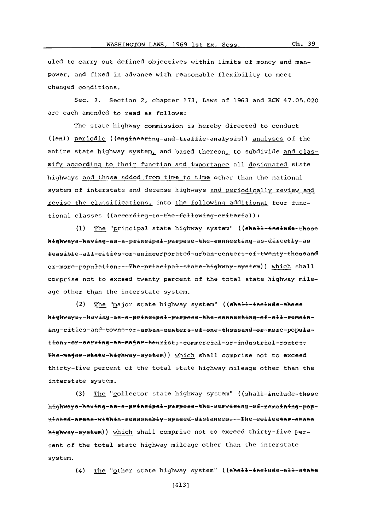uled to carry out defined objectives within limits of money and manpower, and fixed in advance with reasonable flexibility to meet changed conditions.

Sec. 2. Section 2, chapter **173,** Laws of **1963** and RCW 47.05.020 are each amended to read as follows:

The state highway commission is hereby directed to conduct  $((an))$  periodic  $((enqineering-and-traffie-analygis))$  analyses of the entire state highway system, and based thereon, to subdivide and classify according to their function and importance all designated state highways and those added from timpe to time other than the national system of interstate and defense highways and periodically review and revise the classifications, into the following additional four functional classes ((aeeording-to-the-following-eriteria)):

(1) The "principal state highway system" ((shall-inelude-these highways-having-as-a-principal-purpose-the-connecting-as-directly-as feasible-all-eities-or-unineorporated-urban-eenters-of-twenty-thousand er-more-population --- The-principal-state-highway-system)) which shall comprise not to exceed twenty percent of the total state highway mileage other than the interstate system.

(2) The "major state highway system" ((shall-inelude-these highways--having-as-a-principal-purpose-the-connecting-of-all-remaining-cities-and-towns-or-urban-centers-of-one-thousand-or-more-population7-or-serving-as-major-tourist7-commercial-or-industrial-routest The-major-state-highway-system)) which shall comprise not to exceed thirty-five percent of the total state highway mileage other than the interstate system.

(3) The "collector state highway system" ((shall-inelude-these highways-having-as-a-principal-purpose-the-servicing-of-remaining-populated-areas-within-reasonably-spaeed-distances---The-collector-state highway-system)) which shall comprise not to exceed thirty-five percent of the total state highway mileage other than the interstate system.

(4) The "other state highway system" ((shall-inelude-all-state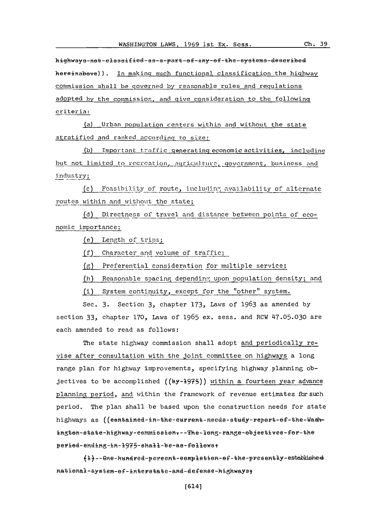Ch. 39

highways-not-elassified-as-a-part-of-any-of-the-systems-deseribed hereinabove)). In making such functional classification the highway commission shall be governed by reasonable rules and regulations adopted by the commission, and give consideration to the following criteria:

(a) Urban population centers within and without the state stratified and ranked according to size:

(b) Important traffic generating economic activities, including but not limited to recreation, agriculture, government, business and industry;

(c) Feasibility of route, including availability of alternate routes within and without the state;

(d) Directness of travel and distance between points of economic importance;

(e) Length of trips;

(f) Character and volume of traffic;

(g) Preferential consideration for multiple service;

(h) Reasonable spacing depending upon population density; and

(i) System continuity, except for the "other" system.

Sec. 3. Section 3, chapter 173, Laws of 1963 as amended by section 33, chapter 170, Laws of 1965 ex. sess. and RCW 47.05.030 are each amended to read as follows:

The state highway commission shall adopt and periodically revise after consultation with the joint committee on highways a long range plan for highway improvements, specifying highway planning objectives to be accomplished ((by-1975)) within a fourteen year advance planning period, and within the framework of revenue estimates for such period. The plan shall be based upon the construction needs for state highways as ((eentained-in-the-eurrent-needs-study-repert-ef-the-Wadington-state-highway-commission --- The-long-range-objectives-for-the period-ending-in-1975-shall-be-as-follows:

{1}--One-hundred-percent-completion-of-the-presently-established national-system-of-interstate-and-defense-highways;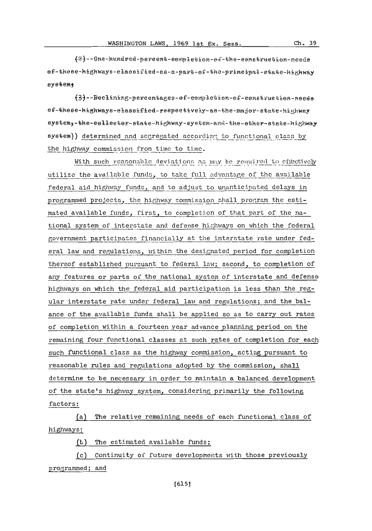(2)--Gne-hundred-percent-completion-of-the-construction-needs ef-these-highways-elassified-as-a-part-ef-the-principal-state-highway eystemt

(3)--Beclining-percentages-of-completion-of-construction-needs ef-these-highways-elassified-respectively-as-the-major-state-highway systemy-the-eelleeter-state-highway-system-and-the-ether-state-highway system)) determined and segregated according to functional class by the highway commission from time to time.

With such reasonable deviations as may be required to effectively utilize the available funds, to take full advantage of the available federal aid highway funds, and to adjust to unanticipated delays in programmed projects, the highway commission shall program the estimated available funds, first, to completion of that part of the national system of interstate and defense highways on which the federal government participates financially at the interstate rate under federal law and regulations, within the designated period for completion thereof established pursuant to federal law; second, to completion of any features or parts of the national system of interstate and defense highways on which the federal aid participation is less than the regular interstate rate under federal law and regulations; and the balance of the available funds shall be applied so as to carry out rates of completion within a fourteen year advance planning period on the remaining four functional classes at such rates of completion for each such functional class as the highway commission, acting pursuant to reasonable rules and regulations adopted by the commission, shall determine to be necessary in order to maintain a balanced development of the state's highway system, considering primarily the following factors:

(a) The relative remaining needs of each functional class of highways;

(t) The estimated available funds;

(c) Continuity of future developments with those previously programmed; and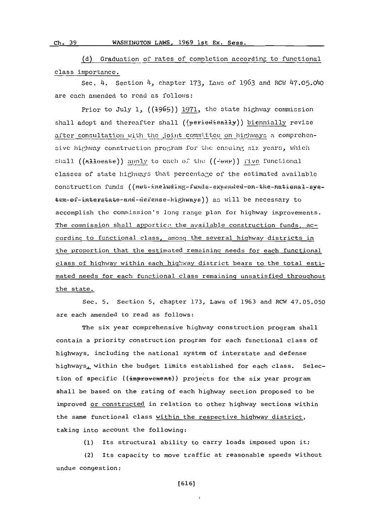## WASHINGTON LAWS, 1969 1st Ex. Sess. Ch. 39

(d) Graduation of rates of completion according to functional class importance.

Sec. 4. Section 4, chapter 173, Laws of 1963 and RCW 47.05.040 are each amended to read as follows:

Prior to July 1, ((1965)) 1971, the state highway commission shall adopt and thereafter shall ((periodieally)) biennially revise after consultation with the joint committee on highways a comprehensive highway construction program for the ensuing six years, which chall ((alloeate)) apply to each of the ((-enr)) five functional classes of state highways that percentage of the estimated available construction funds ((Het-ineluding-funds-expended-on-the-national-system-of-interstate-and-defense-highways)) as will be necessary to accomplish the commission's long range plan for highway improvements. The commission shall apportic: the available construction funds, according to functional class, among the several highway districts in the proportion that the estimated remaining needs for each functional class of highway within each highway district bears to the total estimated needs for each functional class remaining unsatisfied throughout the state.

Sec. 5. Section 5, chapter 173, Laws of 1963 and RCW 47.05.050 are each amended to read as follows:

The six year comprehensive highway construction program shall contain a priority construction program for each functional class of highways, including the national system of interstate and defense highways, within the budget limits established for each class. Selection of specific ((improvement)) projects for the six year program shall be based on the rating of each highway section proposed to be improved or constructed in relation to other highway sections within the same functional class within the respective highway district, taking into account the following:

(1) Its structural ability to carry loads imposed upon it;

(2) Its capacity to move traffic at reasonable speeds without undue congestion;

 $[616]$